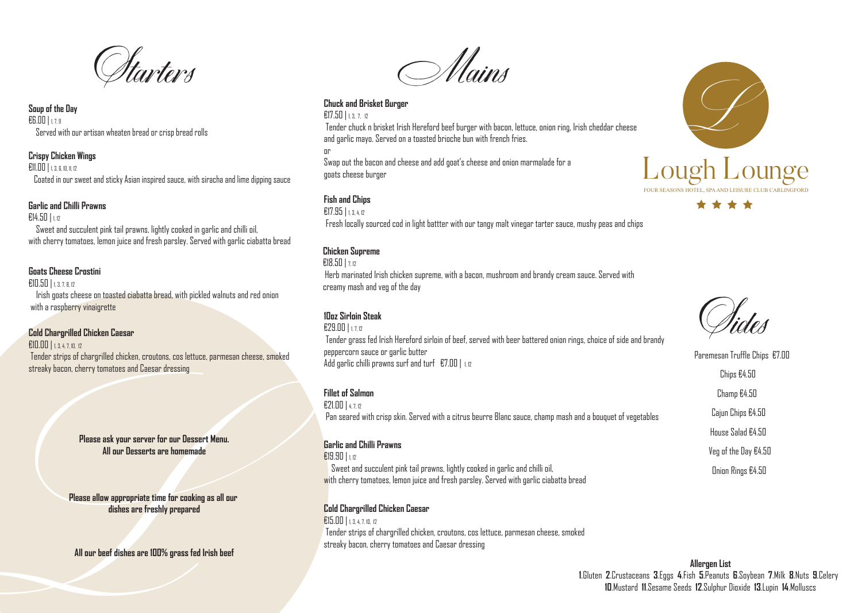



**Soup of the Day** €6.00 | 1, 7, 9 Served with our artisan wheaten bread or crisp bread rolls

# **Crispy Chicken Wings**

€11.00 | 1, 3, 6, 10, 11, 12

Coated in our sweet and sticky Asian inspired sauce, with siracha and lime dipping sauce

#### **Garlic and Chilli Prawns**

€14.50 | 1, 12

 Sweet and succulent pink tail prawns, lightly cooked in garlic and chilli oil, with cherry tomatoes, lemon juice and fresh parsley. Served with garlic ciabatta bread

# **Goats Cheese Crostini**

€10.50 | 1, 3, 7, 8, 12

 Irish goats cheese on toasted ciabatta bread, with pickled walnuts and red onion with a raspberry vinaigrette

> €29.00 | 1, 7, 12 Tender grass fed Irish Hereford sirloin of beef, served with beer battered onion rings, choice of side and brandy peppercorn sauce or garlic butter Add garlic chilli prawns surf and turf  $E7.00$  | 1,12

## **Cold Chargrilled Chicken Caesar**

€10.00 | 1, 3, 4, 7, 10, 12 Tender strips of chargrilled chicken, croutons, cos lettuce, parmesan cheese, smoked streaky bacon, cherry tomatoes and Caesar dressing

Mains

## **Chuck and Brisket Burger**

#### €17.50 | 1, 3, 7, 12

 Tender chuck n brisket Irish Hereford beef burger with bacon, lettuce, onion ring, Irish cheddar cheese and garlic mayo. Served on a toasted brioche bun with french fries.

€19.90 | 1, 12 Sweet and succulent pink tail prawns, lightly cooked in garlic and chilli oil, with cherry tomatoes, lemon juice and fresh parsley. Served with garlic ciabatta bread

or

Swap out the bacon and cheese and add goat's cheese and onion marmalade for a goats cheese burger

# **Fish and Chips**

€17.95 | 1, 3, 4, 12 Fresh locally sourced cod in light battter with our tangy malt vinegar tarter sauce, mushy peas and chips

# **10oz Sirloin Steak**

Please ask your server for our Dessert Menu.<br>All our Desserts are homemade<br>Please allow appropriate time for cooking as all our<br>dishes are freshly prepared<br>All our beef dishes are 100% grass fed Irish beef **Please allow appropriate time for cooking as all our dishes are freshly prepared**

## **Fillet of Salmon**

€21.00 | 4, 7, 12 Pan seared with crisp skin. Served with a citrus beurre Blanc sauce, champ mash and a bouquet of vegetables

# **Chicken Supreme**

 $E18.50$  |  $7.12$ 

 Herb marinated Irish chicken supreme, with a bacon, mushroom and brandy cream sauce. Served with creamy mash and veg of the day

Sides

Paremesan Truffle Chips €7.00 Chips €4.50 Champ €4.50 Cajun Chips €4.50 House Salad €4.50 Veg of the Day €4.50 Onion Rings €4.50

## **Garlic and Chilli Prawns**

## **Cold Chargrilled Chicken Caesar**

€15.00 | 1, 3, 4, 7, 10, 12 Tender strips of chargrilled chicken, croutons, cos lettuce, parmesan cheese, smoked streaky bacon, cherry tomatoes and Caesar dressing

> **Allergen List 1**.Gluten **2**.Crustaceans **3**.Eggs **4**.Fish **5**.Peanuts **6**.Soybean **7**.Milk **8**.Nuts **9**.Celery **10**.Mustard **11**.Sesame Seeds **12**.Sulphur Dioxide **13**.Lupin **14**.Molluscs

**Please ask your server for our Dessert Menu. All our Desserts are homemade**

**All our beef dishes are 100% grass fed Irish beef**